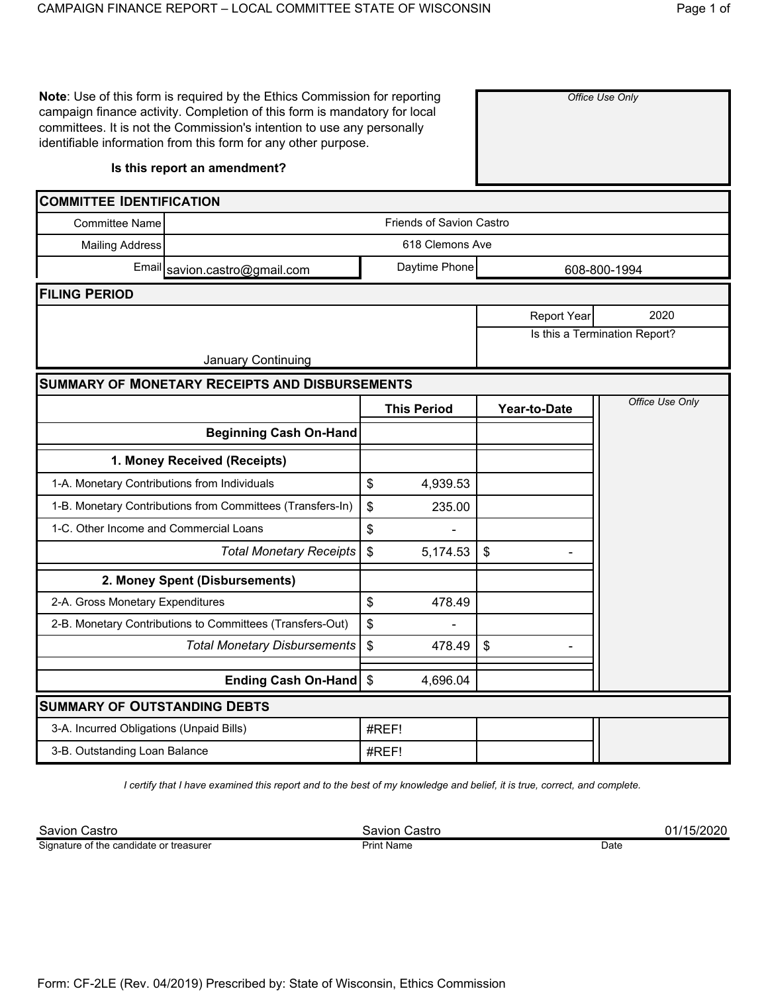**Note**: Use of this form is required by the Ethics Commission for reporting campaign finance activity. Completion of this form is mandatory for local committees. It is not the Commission's intention to use any personally identifiable information from this form for any other purpose.

## **Is this report an amendment?**

| <b>COMMITTEE IDENTIFICATION</b>              |                                                            |              |                    |                           |                               |  |  |  |
|----------------------------------------------|------------------------------------------------------------|--------------|--------------------|---------------------------|-------------------------------|--|--|--|
| <b>Committee Name</b>                        | <b>Friends of Savion Castro</b>                            |              |                    |                           |                               |  |  |  |
| <b>Mailing Address</b>                       | 618 Clemons Ave                                            |              |                    |                           |                               |  |  |  |
|                                              | Email savion.castro@gmail.com                              | 608-800-1994 |                    |                           |                               |  |  |  |
| <b>FILING PERIOD</b>                         |                                                            |              |                    |                           |                               |  |  |  |
|                                              |                                                            |              |                    | <b>Report Year</b>        | 2020                          |  |  |  |
|                                              |                                                            |              |                    |                           | Is this a Termination Report? |  |  |  |
|                                              | <b>January Continuing</b>                                  |              |                    |                           |                               |  |  |  |
|                                              | <b>SUMMARY OF MONETARY RECEIPTS AND DISBURSEMENTS</b>      |              |                    |                           |                               |  |  |  |
|                                              |                                                            |              | <b>This Period</b> | Year-to-Date              | Office Use Only               |  |  |  |
|                                              | <b>Beginning Cash On-Hand</b>                              |              |                    |                           |                               |  |  |  |
|                                              | 1. Money Received (Receipts)                               |              |                    |                           |                               |  |  |  |
| 1-A. Monetary Contributions from Individuals |                                                            | \$           | 4,939.53           |                           |                               |  |  |  |
|                                              | 1-B. Monetary Contributions from Committees (Transfers-In) | \$           | 235.00             |                           |                               |  |  |  |
| 1-C. Other Income and Commercial Loans       |                                                            | \$           |                    |                           |                               |  |  |  |
|                                              | <b>Total Monetary Receipts</b>                             | \$           | 5,174.53           | $\boldsymbol{\mathsf{S}}$ |                               |  |  |  |
|                                              | 2. Money Spent (Disbursements)                             |              |                    |                           |                               |  |  |  |
| 2-A. Gross Monetary Expenditures             |                                                            | \$           | 478.49             |                           |                               |  |  |  |
|                                              | 2-B. Monetary Contributions to Committees (Transfers-Out)  | \$           |                    |                           |                               |  |  |  |
|                                              | <b>Total Monetary Disbursements</b>                        | \$           | 478.49             | $\boldsymbol{\mathsf{S}}$ |                               |  |  |  |
|                                              | Ending Cash On-Hand                                        | \$           | 4,696.04           |                           |                               |  |  |  |
| <b>SUMMARY OF OUTSTANDING DEBTS</b>          |                                                            |              |                    |                           |                               |  |  |  |
| 3-A. Incurred Obligations (Unpaid Bills)     |                                                            |              | #REF!              |                           |                               |  |  |  |
| 3-B. Outstanding Loan Balance                |                                                            | #REF!        |                    |                           |                               |  |  |  |

*I certify that I have examined this report and to the best of my knowledge and belief, it is true, correct, and complete.*

Savion Castro Savion Castro 01/15/2020 Signature of the candidate or treasurer

Print Name Date

*Office Use Only*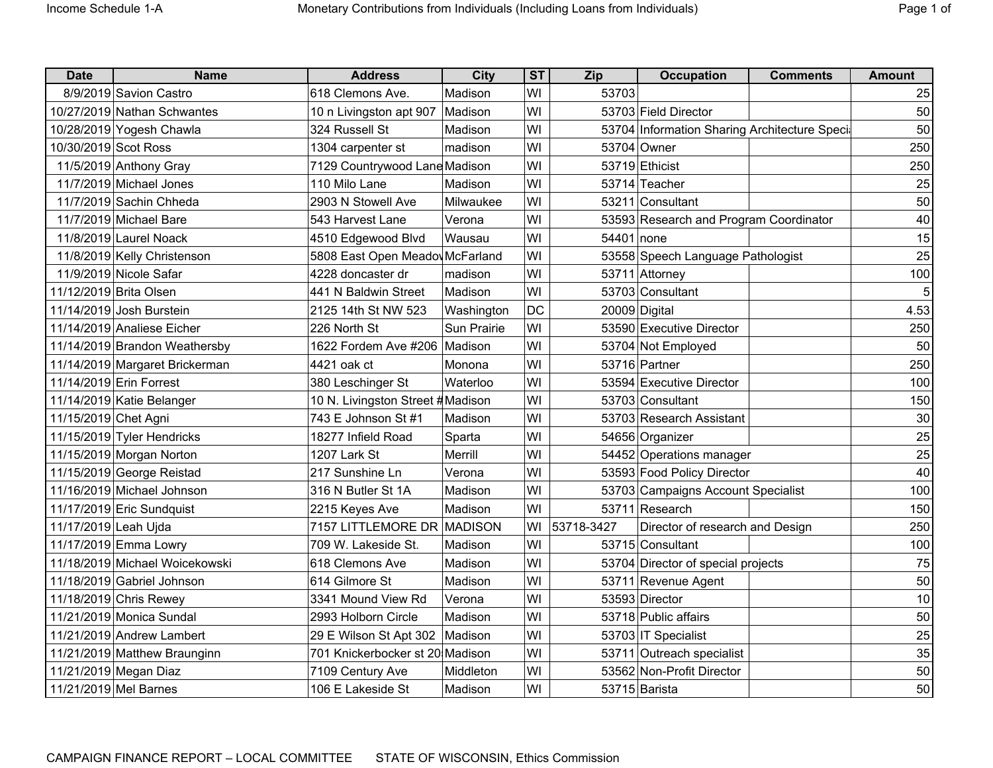| Раае | ΩT |
|------|----|
|      |    |

| <b>Date</b>            | <b>Name</b>                    | <b>Address</b>                   | <b>City</b> | <b>ST</b> | Zip        | <b>Occupation</b>                             | <b>Comments</b> | Amount |
|------------------------|--------------------------------|----------------------------------|-------------|-----------|------------|-----------------------------------------------|-----------------|--------|
|                        | 8/9/2019 Savion Castro         | 618 Clemons Ave.                 | Madison     | WI        | 53703      |                                               |                 | 25     |
|                        | 10/27/2019 Nathan Schwantes    | 10 n Livingston apt 907 Madison  |             | WI        |            | 53703 Field Director                          |                 | 50     |
|                        | 10/28/2019 Yogesh Chawla       | 324 Russell St                   | Madison     | WI        |            | 53704 Information Sharing Architecture Speci- |                 | 50     |
| 10/30/2019 Scot Ross   |                                | 1304 carpenter st                | madison     | WI        |            | 53704 Owner                                   |                 | 250    |
|                        | 11/5/2019 Anthony Gray         | 7129 Countrywood Lane Madison    |             | WI        |            | 53719 Ethicist                                |                 | 250    |
|                        | 11/7/2019 Michael Jones        | 110 Milo Lane                    | Madison     | WI        |            | 53714 Teacher                                 |                 | 25     |
|                        | 11/7/2019 Sachin Chheda        | 2903 N Stowell Ave               | Milwaukee   | WI        |            | 53211 Consultant                              |                 | 50     |
|                        | 11/7/2019 Michael Bare         | 543 Harvest Lane                 | Verona      | WI        |            | 53593 Research and Program Coordinator        |                 | 40     |
|                        | 11/8/2019 Laurel Noack         | 4510 Edgewood Blvd               | Wausau      | WI        | 54401 none |                                               |                 | 15     |
|                        | 11/8/2019 Kelly Christenson    | 5808 East Open Meadov McFarland  |             | WI        |            | 53558 Speech Language Pathologist             |                 | 25     |
|                        | 11/9/2019 Nicole Safar         | 4228 doncaster dr                | madison     | WI        |            | 53711 Attorney                                |                 | 100    |
| 11/12/2019 Brita Olsen |                                | 441 N Baldwin Street             | Madison     | WI        |            | 53703 Consultant                              |                 | 5      |
|                        | 11/14/2019 Josh Burstein       | 2125 14th St NW 523              | Washington  | <b>DC</b> |            | 20009 Digital                                 |                 | 4.53   |
|                        | 11/14/2019 Analiese Eicher     | 226 North St                     | Sun Prairie | WI        |            | 53590 Executive Director                      |                 | 250    |
|                        | 11/14/2019 Brandon Weathersby  | 1622 Fordem Ave #206   Madison   |             | WI        |            | 53704 Not Employed                            |                 | 50     |
|                        | 11/14/2019 Margaret Brickerman | 4421 oak ct                      | Monona      | WI        |            | 53716 Partner                                 |                 | 250    |
|                        | 11/14/2019 Erin Forrest        | 380 Leschinger St                | Waterloo    | WI        |            | 53594 Executive Director                      |                 | 100    |
|                        | 11/14/2019 Katie Belanger      | 10 N. Livingston Street #Madison |             | WI        |            | 53703 Consultant                              |                 | 150    |
| 11/15/2019 Chet Agni   |                                | 743 E Johnson St #1              | Madison     | WI        |            | 53703 Research Assistant                      |                 | 30     |
|                        | 11/15/2019 Tyler Hendricks     | 18277 Infield Road               | Sparta      | WI        |            | 54656 Organizer                               |                 | 25     |
|                        | 11/15/2019 Morgan Norton       | 1207 Lark St                     | Merrill     | WI        |            | 54452 Operations manager                      |                 | 25     |
|                        | 11/15/2019 George Reistad      | 217 Sunshine Ln                  | Verona      | WI        |            | 53593 Food Policy Director                    |                 | 40     |
|                        | 11/16/2019 Michael Johnson     | 316 N Butler St 1A               | Madison     | WI        |            | 53703 Campaigns Account Specialist            |                 | 100    |
|                        | 11/17/2019 Eric Sundquist      | 2215 Keyes Ave                   | Madison     | WI        |            | 53711 Research                                |                 | 150    |
| 11/17/2019 Leah Ujda   |                                | 7157 LITTLEMORE DR MADISON       |             | WI        | 53718-3427 | Director of research and Design               |                 | 250    |
|                        | 11/17/2019 Emma Lowry          | 709 W. Lakeside St.              | Madison     | WI        |            | 53715 Consultant                              |                 | 100    |
|                        | 11/18/2019 Michael Woicekowski | 618 Clemons Ave                  | Madison     | WI        |            | 53704 Director of special projects            |                 | 75     |
|                        | 11/18/2019 Gabriel Johnson     | 614 Gilmore St                   | Madison     | WI        |            | 53711 Revenue Agent                           |                 | 50     |
|                        | 11/18/2019 Chris Rewey         | 3341 Mound View Rd               | Verona      | WI        |            | 53593 Director                                |                 | 10     |
|                        | 11/21/2019 Monica Sundal       | 2993 Holborn Circle              | Madison     | WI        |            | 53718 Public affairs                          |                 | 50     |
|                        | 11/21/2019 Andrew Lambert      | 29 E Wilson St Apt 302   Madison |             | WI        |            | 53703 IT Specialist                           |                 | 25     |
|                        | 11/21/2019 Matthew Braunginn   | 701 Knickerbocker st 20 Madison  |             | WI        |            | 53711 Outreach specialist                     |                 | 35     |
|                        | 11/21/2019 Megan Diaz          | 7109 Century Ave                 | Middleton   | WI        |            | 53562 Non-Profit Director                     |                 | 50     |
| 11/21/2019 Mel Barnes  |                                | 106 E Lakeside St                | Madison     | WI        |            | 53715 Barista                                 |                 | 50     |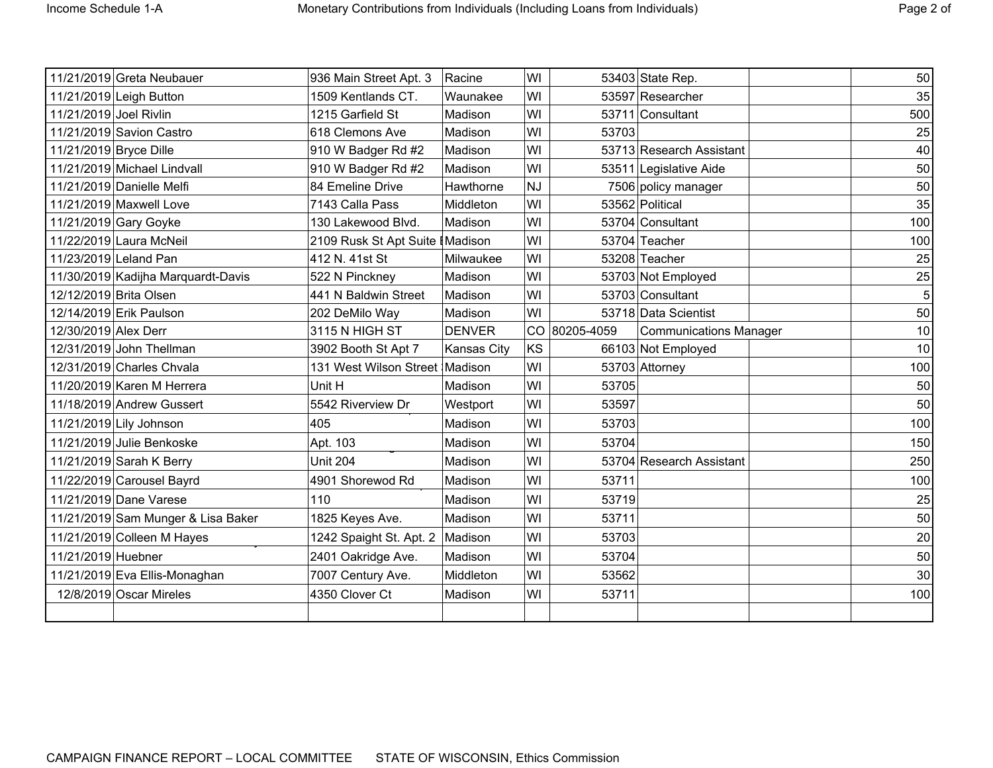|                        | 11/21/2019 Greta Neubauer          | 936 Main Street Apt. 3           | Racine             | WI        |               | 53403 State Rep.              | 50  |
|------------------------|------------------------------------|----------------------------------|--------------------|-----------|---------------|-------------------------------|-----|
|                        | 11/21/2019 Leigh Button            | 1509 Kentlands CT.               | Waunakee           | WI        |               | 53597 Researcher              | 35  |
| 11/21/2019 Joel Rivlin |                                    | 1215 Garfield St                 | Madison            | WI        |               | 53711 Consultant              | 500 |
|                        |                                    |                                  |                    |           |               |                               |     |
|                        | 11/21/2019 Savion Castro           | 618 Clemons Ave                  | Madison            | WI        | 53703         |                               | 25  |
| 11/21/2019 Bryce Dille |                                    | 910 W Badger Rd #2               | Madison            | WI        |               | 53713 Research Assistant      | 40  |
|                        | 11/21/2019 Michael Lindvall        | 910 W Badger Rd #2               | Madison            | WI        |               | 53511 Legislative Aide        | 50  |
|                        | 11/21/2019 Danielle Melfi          | 84 Emeline Drive                 | Hawthorne          | <b>NJ</b> |               | 7506 policy manager           | 50  |
|                        | 11/21/2019 Maxwell Love            | 7143 Calla Pass                  | Middleton          | WI        |               | 53562 Political               | 35  |
|                        | 11/21/2019 Gary Goyke              | 130 Lakewood Blvd.               | Madison            | WI        |               | 53704 Consultant              | 100 |
|                        | 11/22/2019 Laura McNeil            | 2109 Rusk St Apt Suite   Madison |                    | WI        |               | 53704 Teacher                 | 100 |
|                        | 11/23/2019 Leland Pan              | 412 N. 41st St                   | Milwaukee          | WI        |               | 53208 Teacher                 | 25  |
|                        | 11/30/2019 Kadijha Marquardt-Davis | 522 N Pinckney                   | Madison            | WI        |               | 53703 Not Employed            | 25  |
|                        | 12/12/2019 Brita Olsen             | 441 N Baldwin Street             | Madison            | WI        |               | 53703 Consultant              | 5   |
|                        | 12/14/2019 Erik Paulson            | 202 DeMilo Way                   | Madison            | WI        |               | 53718 Data Scientist          | 50  |
| 12/30/2019 Alex Derr   |                                    | 3115 N HIGH ST                   | <b>DENVER</b>      |           | CO 80205-4059 | <b>Communications Manager</b> | 10  |
|                        | 12/31/2019 John Thellman           | 3902 Booth St Apt 7              | <b>Kansas City</b> | KS        |               | 66103 Not Employed            | 10  |
|                        | 12/31/2019 Charles Chvala          | 131 West Wilson Street Madison   |                    | WI        |               | 53703 Attorney                | 100 |
|                        | 11/20/2019 Karen M Herrera         | Unit H                           | Madison            | WI        | 53705         |                               | 50  |
|                        | 11/18/2019 Andrew Gussert          | 5542 Riverview Dr                | Westport           | WI        | 53597         |                               | 50  |
|                        | 11/21/2019 Lily Johnson            | 405                              | Madison            | WI        | 53703         |                               | 100 |
|                        | 11/21/2019 Julie Benkoske          | Apt. 103                         | Madison            | WI        | 53704         |                               | 150 |
|                        | 11/21/2019 Sarah K Berry           | <b>Unit 204</b>                  | Madison            | WI        |               | 53704 Research Assistant      | 250 |
|                        | 11/22/2019 Carousel Bayrd          | 4901 Shorewod Rd                 | Madison            | WI        | 53711         |                               | 100 |
|                        | 11/21/2019 Dane Varese             | 110                              | Madison            | WI        | 53719         |                               | 25  |
|                        | 11/21/2019 Sam Munger & Lisa Baker | 1825 Keyes Ave.                  | Madison            | WI        | 53711         |                               | 50  |
|                        | 11/21/2019 Colleen M Hayes         | 1242 Spaight St. Apt. 2          | Madison            | WI        | 53703         |                               | 20  |
| 11/21/2019 Huebner     |                                    | 2401 Oakridge Ave.               | Madison            | WI        | 53704         |                               | 50  |
|                        | 11/21/2019 Eva Ellis-Monaghan      | 7007 Century Ave.                | Middleton          | WI        | 53562         |                               | 30  |
|                        | 12/8/2019 Oscar Mireles            | 4350 Clover Ct                   | Madison            | WI        | 53711         |                               | 100 |
|                        |                                    |                                  |                    |           |               |                               |     |
|                        |                                    |                                  |                    |           |               |                               |     |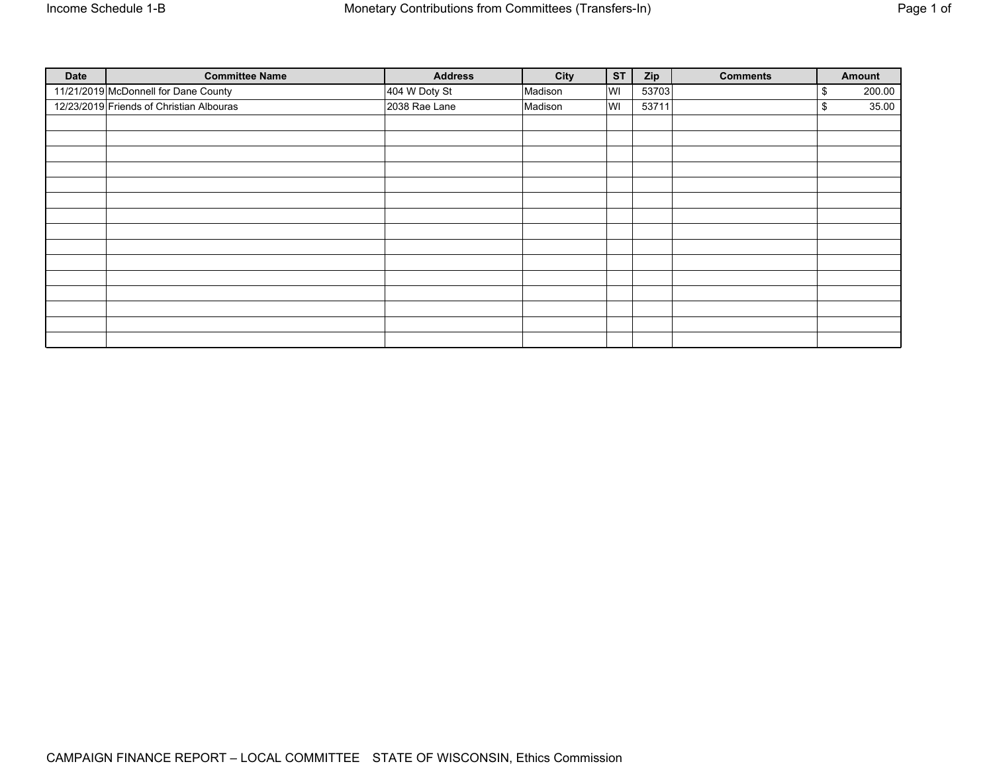| <b>Date</b> | <b>Committee Name</b>                    | <b>Address</b> | City    | <b>ST</b> | Zip   | <b>Comments</b> | Amount       |
|-------------|------------------------------------------|----------------|---------|-----------|-------|-----------------|--------------|
|             | 11/21/2019 McDonnell for Dane County     | 404 W Doty St  | Madison | WI        | 53703 |                 | \$<br>200.00 |
|             | 12/23/2019 Friends of Christian Albouras | 2038 Rae Lane  | Madison | WI        | 53711 |                 | \$<br>35.00  |
|             |                                          |                |         |           |       |                 |              |
|             |                                          |                |         |           |       |                 |              |
|             |                                          |                |         |           |       |                 |              |
|             |                                          |                |         |           |       |                 |              |
|             |                                          |                |         |           |       |                 |              |
|             |                                          |                |         |           |       |                 |              |
|             |                                          |                |         |           |       |                 |              |
|             |                                          |                |         |           |       |                 |              |
|             |                                          |                |         |           |       |                 |              |
|             |                                          |                |         |           |       |                 |              |
|             |                                          |                |         |           |       |                 |              |
|             |                                          |                |         |           |       |                 |              |
|             |                                          |                |         |           |       |                 |              |
|             |                                          |                |         |           |       |                 |              |
|             |                                          |                |         |           |       |                 |              |